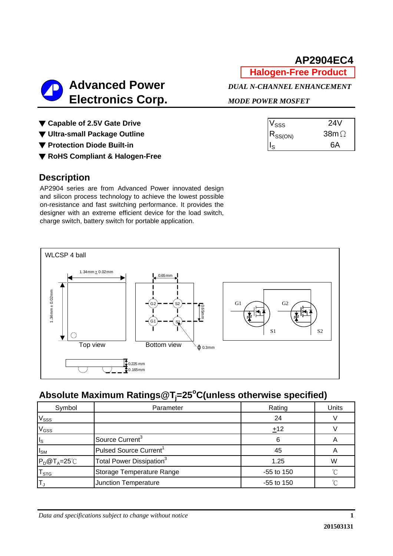**Halogen-Free Product**

| $V_{\rm SSS}$ | 24V         |
|---------------|-------------|
| $R_{SS(ON)}$  | $38m\Omega$ |
|               | 6А          |

**Advanced Power** *DUAL N-CHANNEL ENHANCEMENT*  **Electronics Corp.** *MODE POWER MOSFET*

▼ Capable of 2.5V Gate Drive

▼ Ultra-small Package Outline

▼ Protection Diode Built-in

▼ **RoHS Compliant & Halogen-Free**

# **Description**

AP2904 series are from Advanced Power innovated design and silicon process technology to achieve the lowest possible on-resistance and fast switching performance. It provides the designer with an extreme efficient device for the load switch, charge switch, battery switch for portable application.



# **Absolute Maximum Ratings@Tj =25o C(unless otherwise specified)**

| Symbol                     | Parameter                            | Rating       | Units |
|----------------------------|--------------------------------------|--------------|-------|
| $V_{SSS}$                  |                                      | 24           |       |
| $V$ <sub>GSS</sub>         |                                      | ±12          |       |
| $\mathsf{I}_\mathsf{S}$    | Source Current <sup>3</sup>          | 6            |       |
| $I_{SM}$                   | Pulsed Source Current <sup>1</sup>   | 45           |       |
| $P_D@T_A=25^{\circ}C$      | Total Power Dissipation <sup>3</sup> | 1.25         | W     |
| ${\mathsf T}_{\text{STG}}$ | Storage Temperature Range            | $-55$ to 150 |       |
|                            | Junction Temperature                 | $-55$ to 150 |       |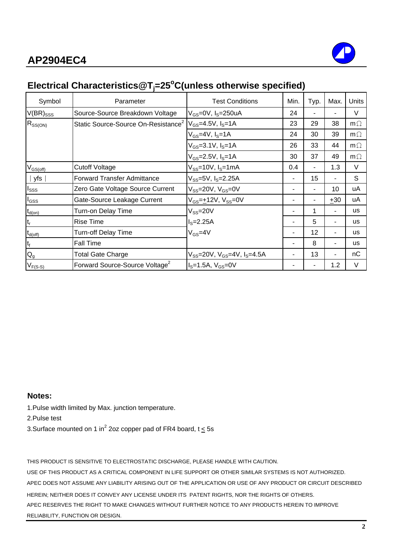

# **Electrical Characteristics@Tj =25o C(unless otherwise specified)**

| Symbol              | Parameter                                       | <b>Test Conditions</b>                            | Min. | Typ. | Max.  | Units     |
|---------------------|-------------------------------------------------|---------------------------------------------------|------|------|-------|-----------|
| $V(BR)_{SSS}$       | Source-Source Breakdown Voltage                 | $V_{GS}$ =0V, $I_S$ =250uA                        | 24   |      |       | $\vee$    |
| $R_{SS(ON)}$        | Static Source-Source On-Resistance <sup>2</sup> | $V_{GS} = 4.5V, I_S = 1A$                         | 23   | 29   | 38    | $m\Omega$ |
|                     |                                                 | $V_{GS}$ =4V, $I_S$ =1A                           | 24   | 30   | 39    | $m\Omega$ |
|                     |                                                 | $V_{GS} = 3.1 V, I_S = 1 A$                       | 26   | 33   | 44    | $m\Omega$ |
|                     |                                                 | $V_{GS} = 2.5V, I_S = 1A$                         | 30   | 37   | 49    | $m\Omega$ |
| $V_{GS(off)}$       | <b>Cutoff Voltage</b>                           | $V_{SS}$ =10V, $I_S$ =1mA                         | 0.4  |      | 1.3   | V         |
| yfs                 | <b>Forward Transfer Admittance</b>              | $V_{SS} = 5V$ , I <sub>S</sub> $= 2.25A$          |      | 15   |       | S         |
| I <sub>SSS</sub>    | Zero Gate Voltage Source Current                | $V_{SS}$ =20V, $V_{GS}$ =0V                       |      | ۰    | 10    | uA        |
| $I_{GSS}$           | Gate-Source Leakage Current                     | $V_{GS} = +12V$ , $V_{SS} = 0V$                   |      |      | $+30$ | uA        |
| $t_{d(on)}$         | Turn-on Delay Time                              | $V_{SS}$ =20V                                     |      |      |       | us        |
| t <sub>r</sub>      | <b>Rise Time</b>                                | $IS=2.25A$                                        |      | 5    | ٠     | <b>us</b> |
| $t_{d(\text{off})}$ | <b>Turn-off Delay Time</b>                      | $V_{GS} = 4V$                                     |      | 12   | ٠     | us        |
| t <sub>f</sub>      | <b>Fall Time</b>                                |                                                   |      | 8    | ۰     | <b>us</b> |
| $Q_{q}$             | <b>Total Gate Charge</b>                        | $V_{SS}$ =20V, $V_{GS}$ =4V, I <sub>S</sub> =4.5A |      | 13   | ٠     | nC        |
| $V_{F(S-S)}$        | Forward Source-Source Voltage <sup>2</sup>      | $IS=1.5A, VGS=0V$                                 |      |      | 1.2   | V         |

## **Notes:**

1.Pulse width limited by Max. junction temperature.

2.Pulse test

3.Surface mounted on 1 in<sup>2</sup> 2oz copper pad of FR4 board, t  $\leq$  5s

THIS PRODUCT IS SENSITIVE TO ELECTROSTATIC DISCHARGE, PLEASE HANDLE WITH CAUTION.

USE OF THIS PRODUCT AS A CRITICAL COMPONENT IN LIFE SUPPORT OR OTHER SIMILAR SYSTEMS IS NOT AUTHORIZED. APEC DOES NOT ASSUME ANY LIABILITY ARISING OUT OF THE APPLICATION OR USE OF ANY PRODUCT OR CIRCUIT DESCRIBED HEREIN; NEITHER DOES IT CONVEY ANY LICENSE UNDER ITS PATENT RIGHTS, NOR THE RIGHTS OF OTHERS. APEC RESERVES THE RIGHT TO MAKE CHANGES WITHOUT FURTHER NOTICE TO ANY PRODUCTS HEREIN TO IMPROVE RELIABILITY, FUNCTION OR DESIGN.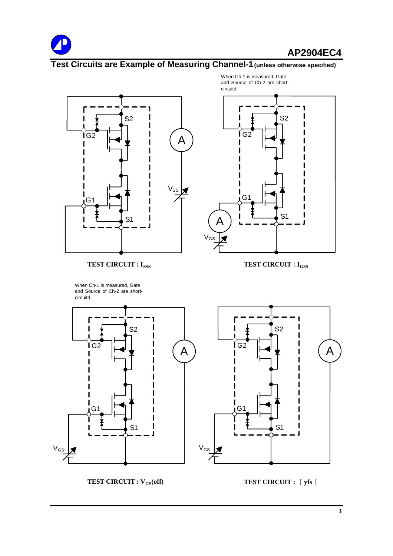

# **Test Circuits are Example of Measuring Channel-1(unless otherwise specified)**



**TEST CIRCUIT : I<sub>SSS</sub> TEST CIRCUIT : I<sub>GSS</sub>** 

When Ch-1 is measured, Gate and Source of Ch-2 are shortcircuitd.

A  $\sqrt{ }$ G1 G2 S1 S2 circuitd.

When Ch-1 is measured, Gate and Source of Ch-2 are short-



**TEST CIRCUIT : V<sub>GS</sub>(off) TEST CIRCUIT :**  $\int y f s$  **|**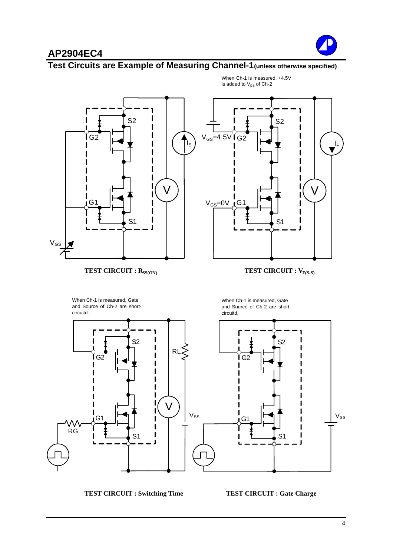

## **Test Circuits are Example of Measuring Channel-1(unless otherwise specified)**



When Ch-1 is measured, +4.5V is added to  $V_{GS}$  of Ch-2

**TEST CIRCUIT : Switching Time TEST CIRCUIT : Gate Charge**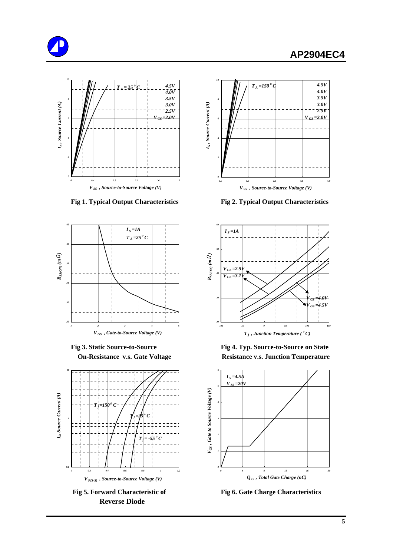







 **Reverse Diode**



 **Fig 1. Typical Output Characteristics Fig 2. Typical Output Characteristics**



 **Fig 3. Static Source-to-Source Fig 4. Typ. Source-to-Source on State On-Resistance v.s. Gate Voltage Resistance v.s. Junction Temperature** 



**Fig 5. Forward Characteristic of Fig 6. Gate Charge Characteristics**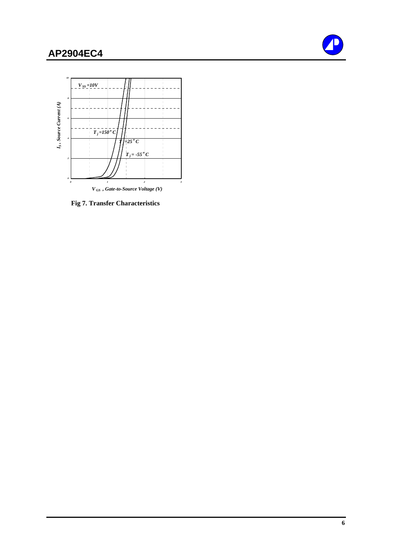



 **Fig 7. Transfer Characteristics**